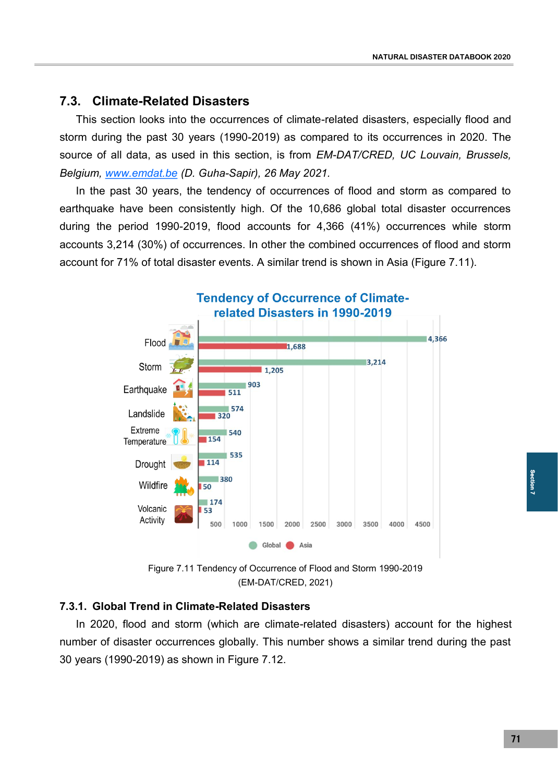## **7.3. Climate-Related Disasters**

This section looks into the occurrences of climate-related disasters, especially flood and storm during the past 30 years (1990-2019) as compared to its occurrences in 2020. The source of all data, as used in this section, is from *EM-DAT/CRED, UC Louvain, Brussels, Belgium, [www.emdat.be](http://www.emdat.be) (D. Guha-Sapir), 26 May 2021.*

In the past 30 years, the tendency of occurrences of flood and storm as compared to earthquake have been consistently high. Of the 10,686 global total disaster occurrences during the period 1990-2019, flood accounts for 4,366 (41%) occurrences while storm accounts 3,214 (30%) of occurrences. In other the combined occurrences of flood and storm account for 71% of total disaster events. A similar trend is shown in Asia (Figure 7.11).



Figure 7.11 Tendency of Occurrence of Flood and Storm 1990-2019 (EM-DAT/CRED, 2021)

## **7.3.1. Global Trend in Climate-Related Disasters**

In 2020, flood and storm (which are climate-related disasters) account for the highest number of disaster occurrences globally. This number shows a similar trend during the past 30 years (1990-2019) as shown in Figure 7.12.